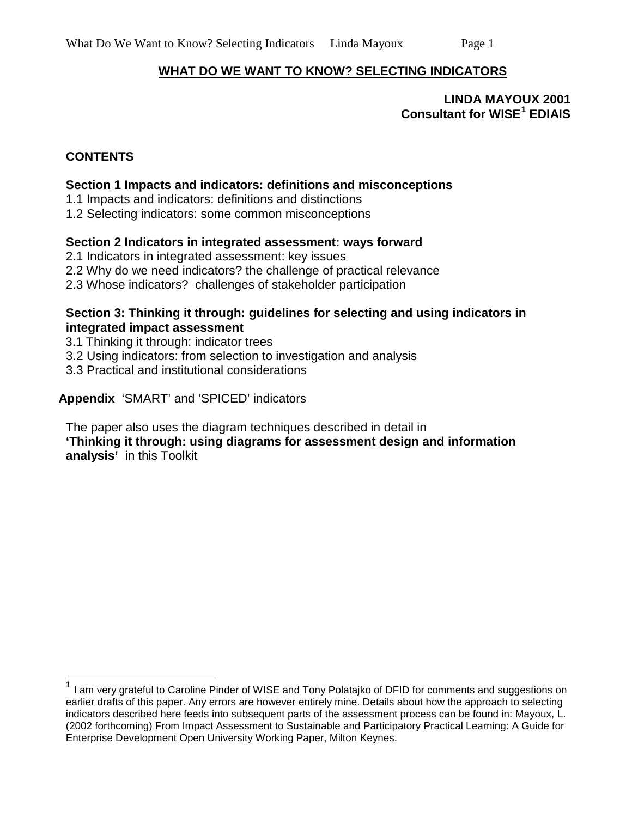#### **WHAT DO WE WANT TO KNOW? SELECTING INDICATORS**

**LINDA MAYOUX 2001 Consultant for WISE[1](#page-0-0) EDIAIS**

### **CONTENTS**

#### **Section 1 Impacts and indicators: definitions and misconceptions**

1.1 Impacts and indicators: definitions and distinctions

1.2 Selecting indicators: some common misconceptions

#### **Section 2 Indicators in integrated assessment: ways forward**

- 2.1 Indicators in integrated assessment: key issues
- 2.2 Why do we need indicators? the challenge of practical relevance
- 2.3 Whose indicators? challenges of stakeholder participation

#### **Section 3: Thinking it through: guidelines for selecting and using indicators in integrated impact assessment**

- 3.1 Thinking it through: indicator trees
- 3.2 Using indicators: from selection to investigation and analysis
- 3.3 Practical and institutional considerations

#### **Appendix** 'SMART' and 'SPICED' indicators

The paper also uses the diagram techniques described in detail in **'Thinking it through: using diagrams for assessment design and information analysis'** in this Toolkit

<span id="page-0-0"></span><sup>&</sup>lt;sup>1</sup> I am very grateful to Caroline Pinder of WISE and Tony Polatajko of DFID for comments and suggestions on earlier drafts of this paper. Any errors are however entirely mine. Details about how the approach to selecting indicators described here feeds into subsequent parts of the assessment process can be found in: Mayoux, L. (2002 forthcoming) From Impact Assessment to Sustainable and Participatory Practical Learning: A Guide for Enterprise Development Open University Working Paper, Milton Keynes.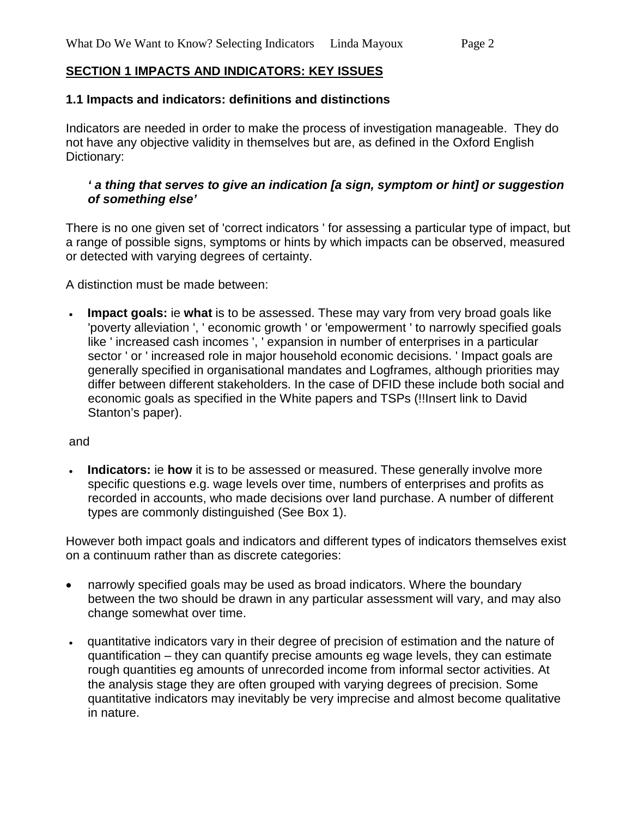### **SECTION 1 IMPACTS AND INDICATORS: KEY ISSUES**

#### **1.1 Impacts and indicators: definitions and distinctions**

Indicators are needed in order to make the process of investigation manageable. They do not have any objective validity in themselves but are, as defined in the Oxford English Dictionary:

#### *' a thing that serves to give an indication [a sign, symptom or hint] or suggestion of something else'*

There is no one given set of 'correct indicators ' for assessing a particular type of impact, but a range of possible signs, symptoms or hints by which impacts can be observed, measured or detected with varying degrees of certainty.

A distinction must be made between:

• **Impact goals:** ie **what** is to be assessed. These may vary from very broad goals like 'poverty alleviation ', ' economic growth ' or 'empowerment ' to narrowly specified goals like ' increased cash incomes ', ' expansion in number of enterprises in a particular sector ' or ' increased role in major household economic decisions. ' Impact goals are generally specified in organisational mandates and Logframes, although priorities may differ between different stakeholders. In the case of DFID these include both social and economic goals as specified in the White papers and TSPs (!!Insert link to David Stanton's paper).

#### and

• **Indicators:** ie **how** it is to be assessed or measured. These generally involve more specific questions e.g. wage levels over time, numbers of enterprises and profits as recorded in accounts, who made decisions over land purchase. A number of different types are commonly distinguished (See Box 1).

However both impact goals and indicators and different types of indicators themselves exist on a continuum rather than as discrete categories:

- narrowly specified goals may be used as broad indicators. Where the boundary between the two should be drawn in any particular assessment will vary, and may also change somewhat over time.
- quantitative indicators vary in their degree of precision of estimation and the nature of quantification – they can quantify precise amounts eg wage levels, they can estimate rough quantities eg amounts of unrecorded income from informal sector activities. At the analysis stage they are often grouped with varying degrees of precision. Some quantitative indicators may inevitably be very imprecise and almost become qualitative in nature.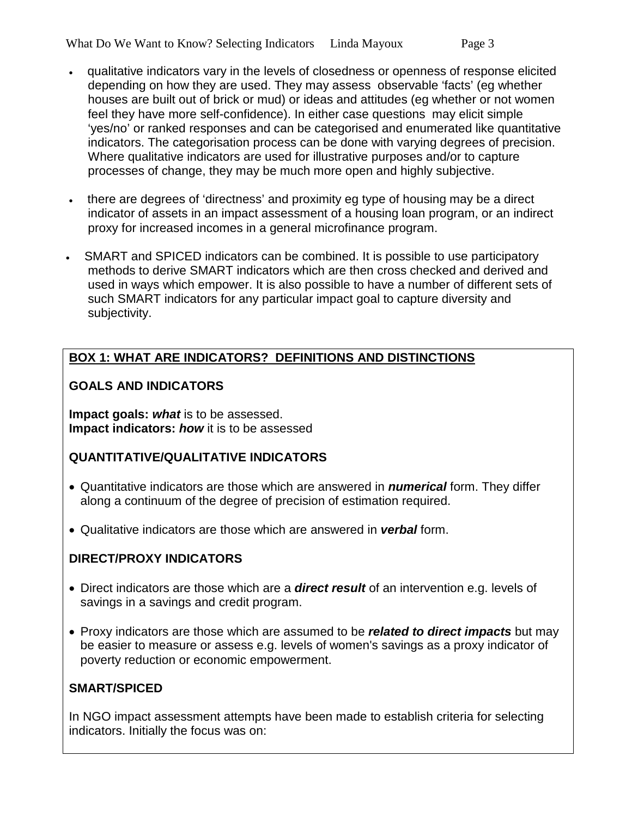- qualitative indicators vary in the levels of closedness or openness of response elicited depending on how they are used. They may assess observable 'facts' (eg whether houses are built out of brick or mud) or ideas and attitudes (eg whether or not women feel they have more self-confidence). In either case questions may elicit simple 'yes/no' or ranked responses and can be categorised and enumerated like quantitative indicators. The categorisation process can be done with varying degrees of precision. Where qualitative indicators are used for illustrative purposes and/or to capture processes of change, they may be much more open and highly subjective.
- there are degrees of 'directness' and proximity eg type of housing may be a direct indicator of assets in an impact assessment of a housing loan program, or an indirect proxy for increased incomes in a general microfinance program.
- SMART and SPICED indicators can be combined. It is possible to use participatory methods to derive SMART indicators which are then cross checked and derived and used in ways which empower. It is also possible to have a number of different sets of such SMART indicators for any particular impact goal to capture diversity and subjectivity.

# **BOX 1: WHAT ARE INDICATORS? DEFINITIONS AND DISTINCTIONS**

### **GOALS AND INDICATORS**

**Impact goals:** *what* is to be assessed. **Impact indicators:** *how* it is to be assessed

### **QUANTITATIVE/QUALITATIVE INDICATORS**

- Quantitative indicators are those which are answered in *numerical* form. They differ along a continuum of the degree of precision of estimation required.
- Qualitative indicators are those which are answered in *verbal* form.

### **DIRECT/PROXY INDICATORS**

- Direct indicators are those which are a *direct result* of an intervention e.g. levels of savings in a savings and credit program.
- Proxy indicators are those which are assumed to be *related to direct impacts* but may be easier to measure or assess e.g. levels of women's savings as a proxy indicator of poverty reduction or economic empowerment.

#### **SMART/SPICED**

In NGO impact assessment attempts have been made to establish criteria for selecting indicators. Initially the focus was on: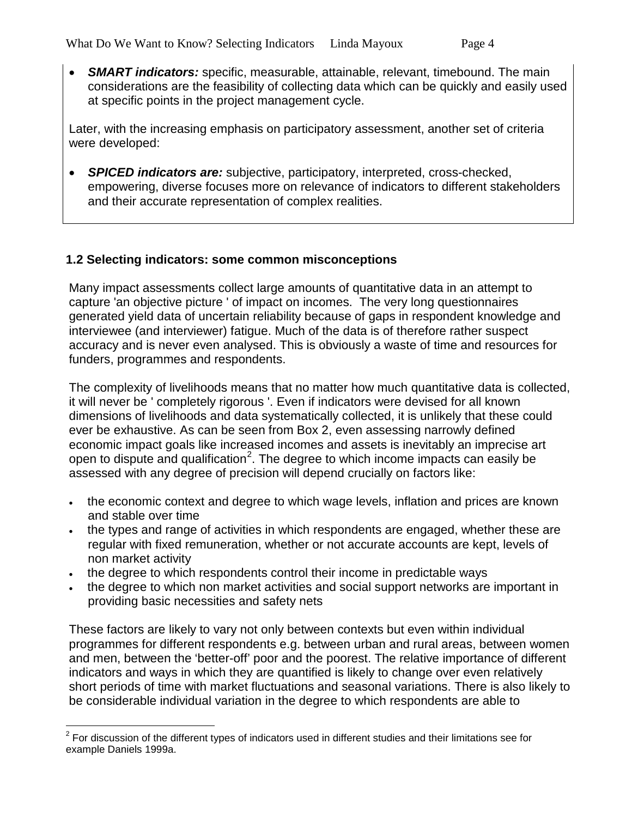• *SMART indicators:* specific, measurable, attainable, relevant, timebound. The main considerations are the feasibility of collecting data which can be quickly and easily used at specific points in the project management cycle.

Later, with the increasing emphasis on participatory assessment, another set of criteria were developed:

• *SPICED indicators are:* subjective, participatory, interpreted, cross-checked, empowering, diverse focuses more on relevance of indicators to different stakeholders and their accurate representation of complex realities.

### **1.2 Selecting indicators: some common misconceptions**

Many impact assessments collect large amounts of quantitative data in an attempt to capture 'an objective picture ' of impact on incomes. The very long questionnaires generated yield data of uncertain reliability because of gaps in respondent knowledge and interviewee (and interviewer) fatigue. Much of the data is of therefore rather suspect accuracy and is never even analysed. This is obviously a waste of time and resources for funders, programmes and respondents.

The complexity of livelihoods means that no matter how much quantitative data is collected, it will never be ' completely rigorous '. Even if indicators were devised for all known dimensions of livelihoods and data systematically collected, it is unlikely that these could ever be exhaustive. As can be seen from Box 2, even assessing narrowly defined economic impact goals like increased incomes and assets is inevitably an imprecise art open to dispute and qualification<sup>[2](#page-3-0)</sup>. The degree to which income impacts can easily be assessed with any degree of precision will depend crucially on factors like:

- the economic context and degree to which wage levels, inflation and prices are known and stable over time
- the types and range of activities in which respondents are engaged, whether these are regular with fixed remuneration, whether or not accurate accounts are kept, levels of non market activity
- the degree to which respondents control their income in predictable ways
- the degree to which non market activities and social support networks are important in providing basic necessities and safety nets

These factors are likely to vary not only between contexts but even within individual programmes for different respondents e.g. between urban and rural areas, between women and men, between the 'better-off' poor and the poorest. The relative importance of different indicators and ways in which they are quantified is likely to change over even relatively short periods of time with market fluctuations and seasonal variations. There is also likely to be considerable individual variation in the degree to which respondents are able to

<span id="page-3-0"></span> $2$  For discussion of the different types of indicators used in different studies and their limitations see for example Daniels 1999a.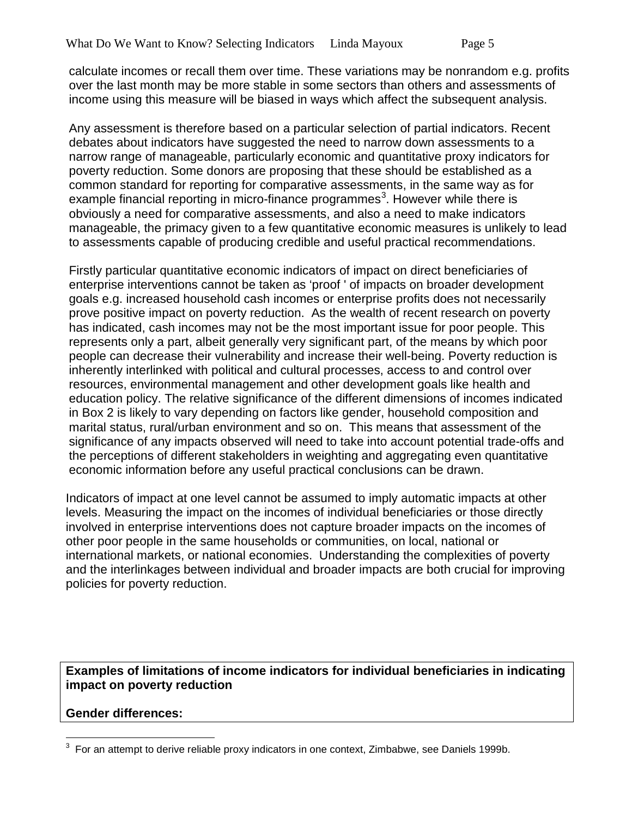calculate incomes or recall them over time. These variations may be nonrandom e.g. profits over the last month may be more stable in some sectors than others and assessments of income using this measure will be biased in ways which affect the subsequent analysis.

Any assessment is therefore based on a particular selection of partial indicators. Recent debates about indicators have suggested the need to narrow down assessments to a narrow range of manageable, particularly economic and quantitative proxy indicators for poverty reduction. Some donors are proposing that these should be established as a common standard for reporting for comparative assessments, in the same way as for example financial reporting in micro-finance programmes<sup>[3](#page-4-0)</sup>. However while there is obviously a need for comparative assessments, and also a need to make indicators manageable, the primacy given to a few quantitative economic measures is unlikely to lead to assessments capable of producing credible and useful practical recommendations.

Firstly particular quantitative economic indicators of impact on direct beneficiaries of enterprise interventions cannot be taken as 'proof ' of impacts on broader development goals e.g. increased household cash incomes or enterprise profits does not necessarily prove positive impact on poverty reduction. As the wealth of recent research on poverty has indicated, cash incomes may not be the most important issue for poor people. This represents only a part, albeit generally very significant part, of the means by which poor people can decrease their vulnerability and increase their well-being. Poverty reduction is inherently interlinked with political and cultural processes, access to and control over resources, environmental management and other development goals like health and education policy. The relative significance of the different dimensions of incomes indicated in Box 2 is likely to vary depending on factors like gender, household composition and marital status, rural/urban environment and so on. This means that assessment of the significance of any impacts observed will need to take into account potential trade-offs and the perceptions of different stakeholders in weighting and aggregating even quantitative economic information before any useful practical conclusions can be drawn.

Indicators of impact at one level cannot be assumed to imply automatic impacts at other levels. Measuring the impact on the incomes of individual beneficiaries or those directly involved in enterprise interventions does not capture broader impacts on the incomes of other poor people in the same households or communities, on local, national or international markets, or national economies. Understanding the complexities of poverty and the interlinkages between individual and broader impacts are both crucial for improving policies for poverty reduction.

**Examples of limitations of income indicators for individual beneficiaries in indicating impact on poverty reduction**

### **Gender differences:**

<span id="page-4-0"></span>3 For an attempt to derive reliable proxy indicators in one context, Zimbabwe, see Daniels 1999b.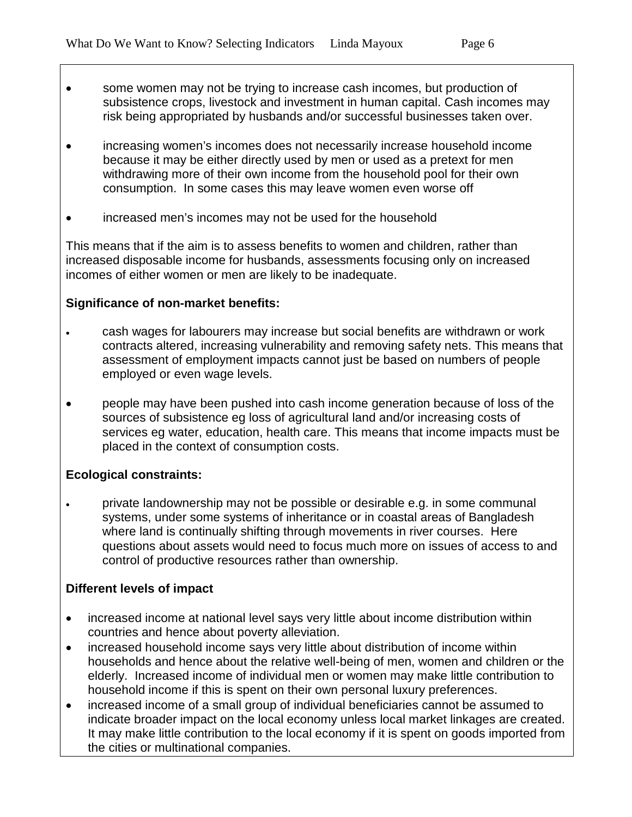- some women may not be trying to increase cash incomes, but production of subsistence crops, livestock and investment in human capital. Cash incomes may risk being appropriated by husbands and/or successful businesses taken over.
- increasing women's incomes does not necessarily increase household income because it may be either directly used by men or used as a pretext for men withdrawing more of their own income from the household pool for their own consumption. In some cases this may leave women even worse off
- increased men's incomes may not be used for the household

This means that if the aim is to assess benefits to women and children, rather than increased disposable income for husbands, assessments focusing only on increased incomes of either women or men are likely to be inadequate.

### **Significance of non-market benefits:**

- cash wages for labourers may increase but social benefits are withdrawn or work contracts altered, increasing vulnerability and removing safety nets. This means that assessment of employment impacts cannot just be based on numbers of people employed or even wage levels.
- people may have been pushed into cash income generation because of loss of the sources of subsistence eg loss of agricultural land and/or increasing costs of services eg water, education, health care. This means that income impacts must be placed in the context of consumption costs.

### **Ecological constraints:**

• private landownership may not be possible or desirable e.g. in some communal systems, under some systems of inheritance or in coastal areas of Bangladesh where land is continually shifting through movements in river courses. Here questions about assets would need to focus much more on issues of access to and control of productive resources rather than ownership.

### **Different levels of impact**

- increased income at national level says very little about income distribution within countries and hence about poverty alleviation.
- increased household income says very little about distribution of income within households and hence about the relative well-being of men, women and children or the elderly. Increased income of individual men or women may make little contribution to household income if this is spent on their own personal luxury preferences.
- increased income of a small group of individual beneficiaries cannot be assumed to indicate broader impact on the local economy unless local market linkages are created. It may make little contribution to the local economy if it is spent on goods imported from the cities or multinational companies.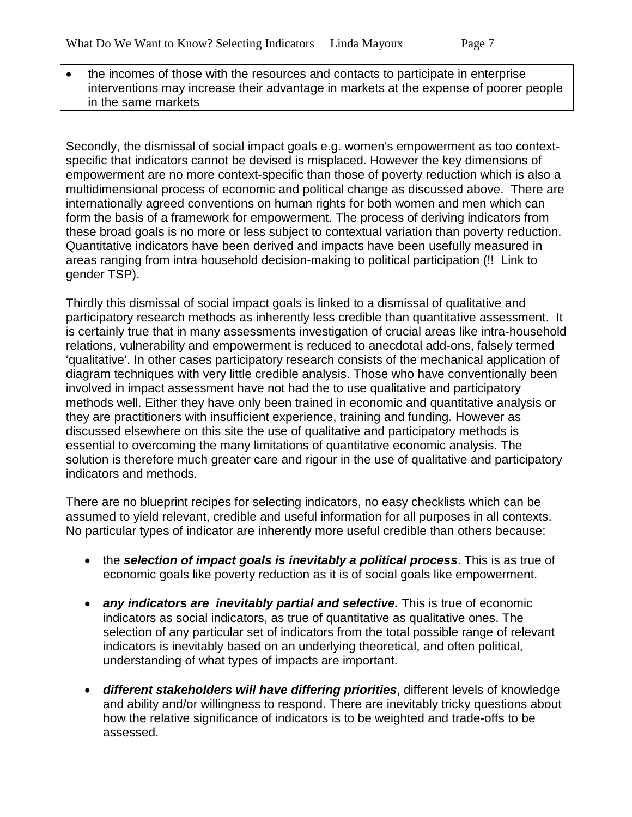• the incomes of those with the resources and contacts to participate in enterprise interventions may increase their advantage in markets at the expense of poorer people in the same markets

Secondly, the dismissal of social impact goals e.g. women's empowerment as too contextspecific that indicators cannot be devised is misplaced. However the key dimensions of empowerment are no more context-specific than those of poverty reduction which is also a multidimensional process of economic and political change as discussed above. There are internationally agreed conventions on human rights for both women and men which can form the basis of a framework for empowerment. The process of deriving indicators from these broad goals is no more or less subject to contextual variation than poverty reduction. Quantitative indicators have been derived and impacts have been usefully measured in areas ranging from intra household decision-making to political participation (!! Link to gender TSP).

Thirdly this dismissal of social impact goals is linked to a dismissal of qualitative and participatory research methods as inherently less credible than quantitative assessment. It is certainly true that in many assessments investigation of crucial areas like intra-household relations, vulnerability and empowerment is reduced to anecdotal add-ons, falsely termed 'qualitative'. In other cases participatory research consists of the mechanical application of diagram techniques with very little credible analysis. Those who have conventionally been involved in impact assessment have not had the to use qualitative and participatory methods well. Either they have only been trained in economic and quantitative analysis or they are practitioners with insufficient experience, training and funding. However as discussed elsewhere on this site the use of qualitative and participatory methods is essential to overcoming the many limitations of quantitative economic analysis. The solution is therefore much greater care and rigour in the use of qualitative and participatory indicators and methods.

There are no blueprint recipes for selecting indicators, no easy checklists which can be assumed to yield relevant, credible and useful information for all purposes in all contexts. No particular types of indicator are inherently more useful credible than others because:

- the *selection of impact goals is inevitably a political process*. This is as true of economic goals like poverty reduction as it is of social goals like empowerment.
- *any indicators are inevitably partial and selective.* This is true of economic indicators as social indicators, as true of quantitative as qualitative ones. The selection of any particular set of indicators from the total possible range of relevant indicators is inevitably based on an underlying theoretical, and often political, understanding of what types of impacts are important.
- *different stakeholders will have differing priorities*, different levels of knowledge and ability and/or willingness to respond. There are inevitably tricky questions about how the relative significance of indicators is to be weighted and trade-offs to be assessed.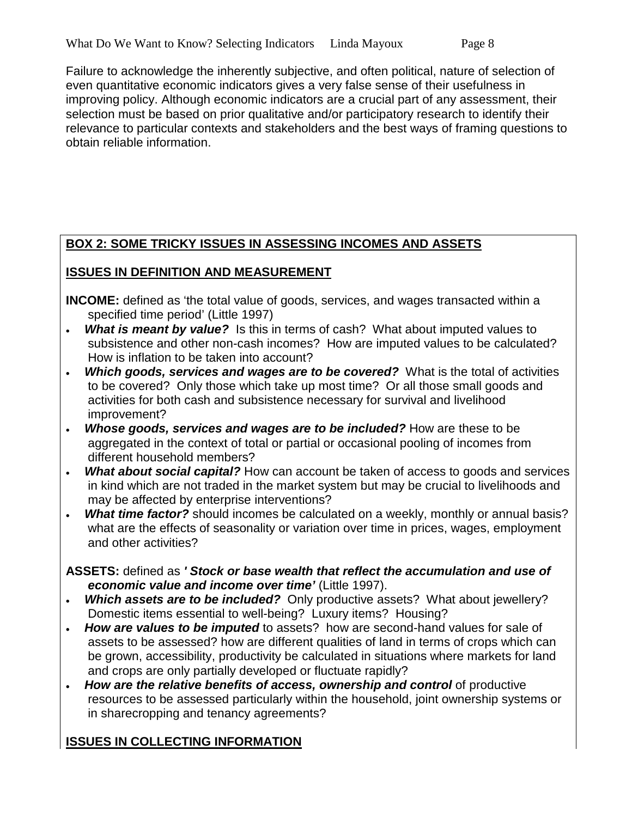Failure to acknowledge the inherently subjective, and often political, nature of selection of even quantitative economic indicators gives a very false sense of their usefulness in improving policy. Although economic indicators are a crucial part of any assessment, their selection must be based on prior qualitative and/or participatory research to identify their relevance to particular contexts and stakeholders and the best ways of framing questions to obtain reliable information.

# **BOX 2: SOME TRICKY ISSUES IN ASSESSING INCOMES AND ASSETS**

# **ISSUES IN DEFINITION AND MEASUREMENT**

**INCOME:** defined as 'the total value of goods, services, and wages transacted within a specified time period' (Little 1997)

- **What is meant by value?** Is this in terms of cash? What about imputed values to subsistence and other non-cash incomes? How are imputed values to be calculated? How is inflation to be taken into account?
- **Which goods, services and wages are to be covered?** What is the total of activities to be covered? Only those which take up most time? Or all those small goods and activities for both cash and subsistence necessary for survival and livelihood improvement?
- *Whose goods, services and wages are to be included?* How are these to be aggregated in the context of total or partial or occasional pooling of incomes from different household members?
- *What about social capital?* How can account be taken of access to goods and services in kind which are not traded in the market system but may be crucial to livelihoods and may be affected by enterprise interventions?
- **What time factor?** should incomes be calculated on a weekly, monthly or annual basis? what are the effects of seasonality or variation over time in prices, wages, employment and other activities?
- **ASSETS:** defined as *' Stock or base wealth that reflect the accumulation and use of economic value and income over time'* (Little 1997).
- *Which assets are to be included?* Only productive assets? What about jewellery? Domestic items essential to well-being? Luxury items? Housing?
- *How are values to be imputed* to assets? how are second-hand values for sale of assets to be assessed? how are different qualities of land in terms of crops which can be grown, accessibility, productivity be calculated in situations where markets for land and crops are only partially developed or fluctuate rapidly?
- *How are the relative benefits of access, ownership and control* of productive resources to be assessed particularly within the household, joint ownership systems or in sharecropping and tenancy agreements?

# **ISSUES IN COLLECTING INFORMATION**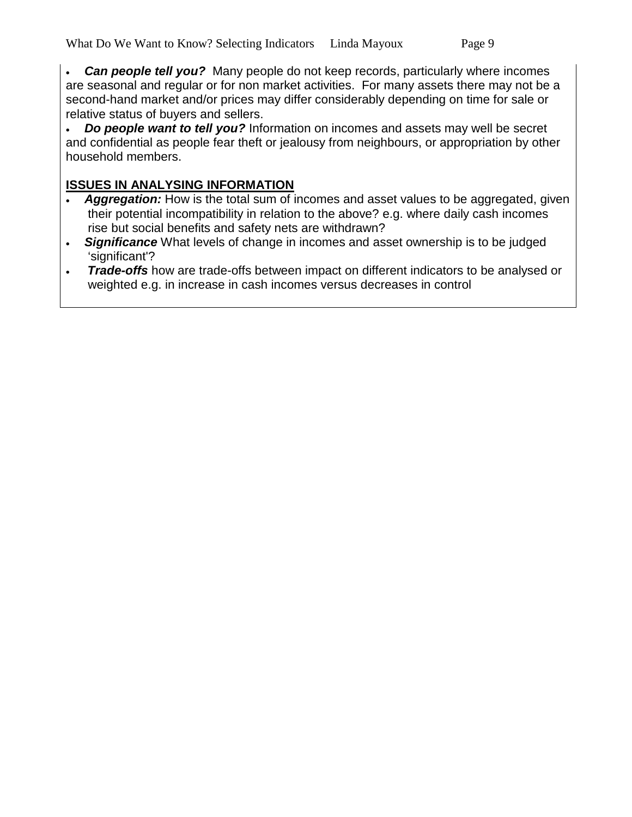• *Can people tell you?* Many people do not keep records, particularly where incomes are seasonal and regular or for non market activities. For many assets there may not be a second-hand market and/or prices may differ considerably depending on time for sale or relative status of buyers and sellers.

• *Do people want to tell you?* Information on incomes and assets may well be secret and confidential as people fear theft or jealousy from neighbours, or appropriation by other household members.

## **ISSUES IN ANALYSING INFORMATION**

- *Aggregation:* How is the total sum of incomes and asset values to be aggregated, given their potential incompatibility in relation to the above? e.g. where daily cash incomes rise but social benefits and safety nets are withdrawn?
- *Significance* What levels of change in incomes and asset ownership is to be judged 'significant'?
- *Trade-offs* how are trade-offs between impact on different indicators to be analysed or weighted e.g. in increase in cash incomes versus decreases in control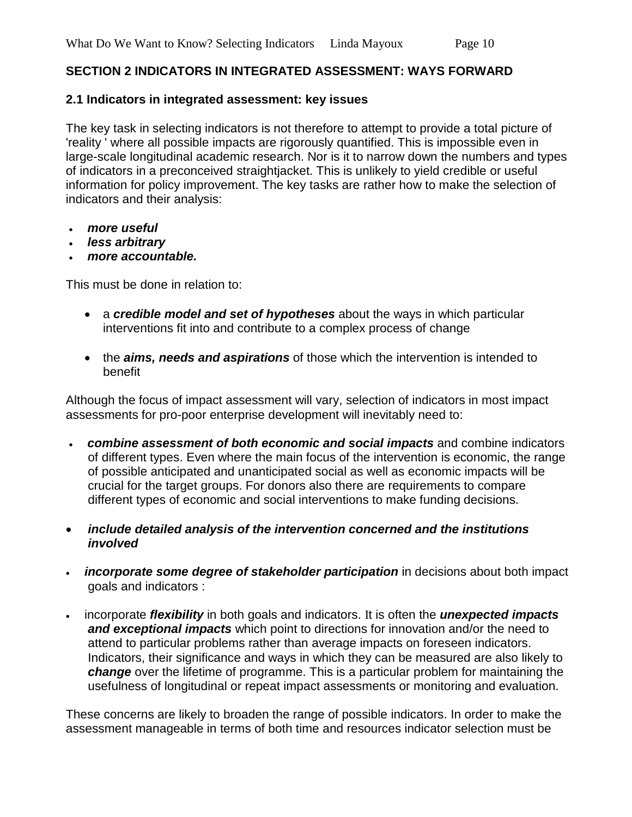#### **SECTION 2 INDICATORS IN INTEGRATED ASSESSMENT: WAYS FORWARD**

#### **2.1 Indicators in integrated assessment: key issues**

The key task in selecting indicators is not therefore to attempt to provide a total picture of 'reality ' where all possible impacts are rigorously quantified. This is impossible even in large-scale longitudinal academic research. Nor is it to narrow down the numbers and types of indicators in a preconceived straightjacket. This is unlikely to yield credible or useful information for policy improvement. The key tasks are rather how to make the selection of indicators and their analysis:

- *more useful*
- *less arbitrary*
- *more accountable.*

This must be done in relation to:

- a *credible model and set of hypotheses* about the ways in which particular interventions fit into and contribute to a complex process of change
- the *aims, needs and aspirations* of those which the intervention is intended to benefit

Although the focus of impact assessment will vary, selection of indicators in most impact assessments for pro-poor enterprise development will inevitably need to:

- *combine assessment of both economic and social impacts* and combine indicators of different types. Even where the main focus of the intervention is economic, the range of possible anticipated and unanticipated social as well as economic impacts will be crucial for the target groups. For donors also there are requirements to compare different types of economic and social interventions to make funding decisions.
- *include detailed analysis of the intervention concerned and the institutions involved*
- *incorporate some degree of stakeholder participation* in decisions about both impact goals and indicators :
- incorporate *flexibility* in both goals and indicators. It is often the *unexpected impacts and exceptional impacts* which point to directions for innovation and/or the need to attend to particular problems rather than average impacts on foreseen indicators. Indicators, their significance and ways in which they can be measured are also likely to *change* over the lifetime of programme. This is a particular problem for maintaining the usefulness of longitudinal or repeat impact assessments or monitoring and evaluation.

These concerns are likely to broaden the range of possible indicators. In order to make the assessment manageable in terms of both time and resources indicator selection must be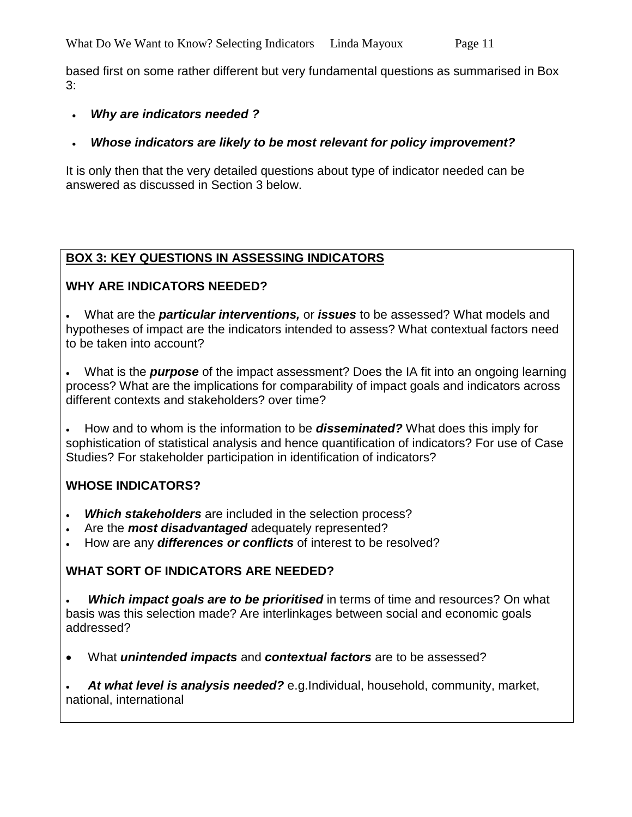based first on some rather different but very fundamental questions as summarised in Box 3:

#### • *Why are indicators needed ?*

### • *Whose indicators are likely to be most relevant for policy improvement?*

It is only then that the very detailed questions about type of indicator needed can be answered as discussed in Section 3 below.

# **BOX 3: KEY QUESTIONS IN ASSESSING INDICATORS**

### **WHY ARE INDICATORS NEEDED?**

• What are the *particular interventions,* or *issues* to be assessed? What models and hypotheses of impact are the indicators intended to assess? What contextual factors need to be taken into account?

• What is the *purpose* of the impact assessment? Does the IA fit into an ongoing learning process? What are the implications for comparability of impact goals and indicators across different contexts and stakeholders? over time?

• How and to whom is the information to be *disseminated?* What does this imply for sophistication of statistical analysis and hence quantification of indicators? For use of Case Studies? For stakeholder participation in identification of indicators?

### **WHOSE INDICATORS?**

- *Which stakeholders* are included in the selection process?
- Are the *most disadvantaged* adequately represented?
- How are any *differences or conflicts* of interest to be resolved?

### **WHAT SORT OF INDICATORS ARE NEEDED?**

**Which impact goals are to be prioritised** in terms of time and resources? On what basis was this selection made? Are interlinkages between social and economic goals addressed?

• What *unintended impacts* and *contextual factors* are to be assessed?

• *At what level is analysis needed?* e.g.Individual, household, community, market, national, international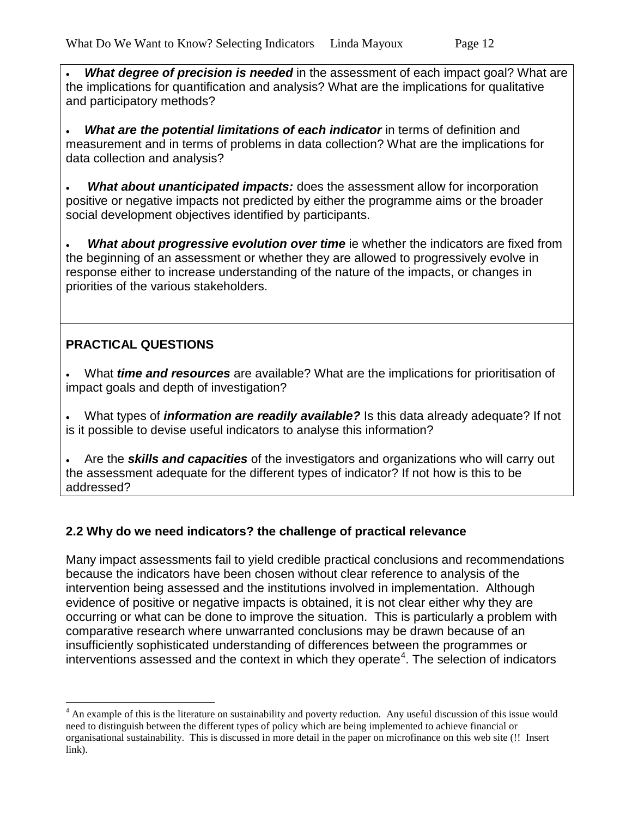**What degree of precision is needed** in the assessment of each impact goal? What are the implications for quantification and analysis? What are the implications for qualitative and participatory methods?

• *What are the potential limitations of each indicator* in terms of definition and measurement and in terms of problems in data collection? What are the implications for data collection and analysis?

• *What about unanticipated impacts:* does the assessment allow for incorporation positive or negative impacts not predicted by either the programme aims or the broader social development objectives identified by participants.

**What about progressive evolution over time** ie whether the indicators are fixed from the beginning of an assessment or whether they are allowed to progressively evolve in response either to increase understanding of the nature of the impacts, or changes in priorities of the various stakeholders.

# **PRACTICAL QUESTIONS**

• What *time and resources* are available? What are the implications for prioritisation of impact goals and depth of investigation?

• What types of *information are readily available?* Is this data already adequate? If not is it possible to devise useful indicators to analyse this information?

• Are the *skills and capacities* of the investigators and organizations who will carry out the assessment adequate for the different types of indicator? If not how is this to be addressed?

# **2.2 Why do we need indicators? the challenge of practical relevance**

Many impact assessments fail to yield credible practical conclusions and recommendations because the indicators have been chosen without clear reference to analysis of the intervention being assessed and the institutions involved in implementation. Although evidence of positive or negative impacts is obtained, it is not clear either why they are occurring or what can be done to improve the situation. This is particularly a problem with comparative research where unwarranted conclusions may be drawn because of an insufficiently sophisticated understanding of differences between the programmes or interventions assessed and the context in which they operate<sup>[4](#page-11-0)</sup>. The selection of indicators

<span id="page-11-0"></span><sup>&</sup>lt;sup>4</sup> An example of this is the literature on sustainability and poverty reduction. Any useful discussion of this issue would need to distinguish between the different types of policy which are being implemented to achieve financial or organisational sustainability. This is discussed in more detail in the paper on microfinance on this web site (!! Insert link).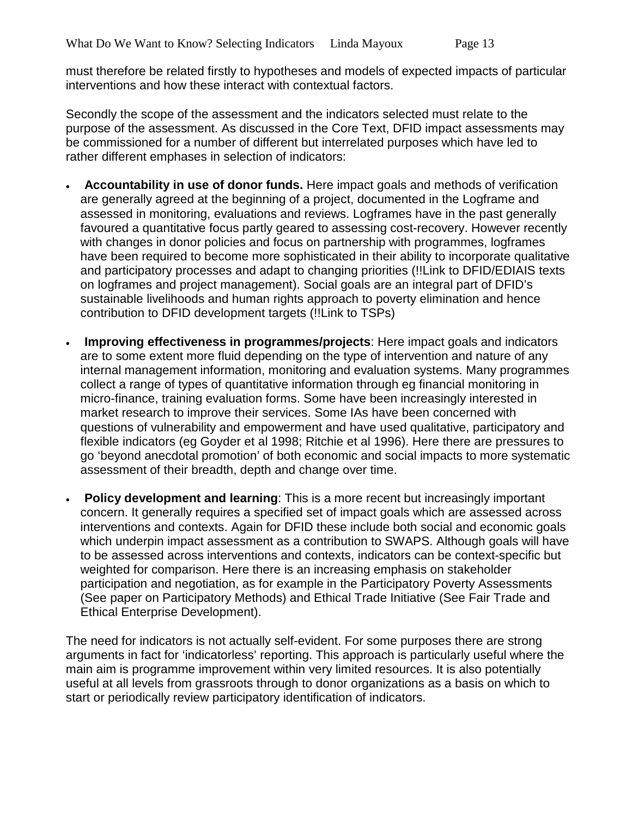must therefore be related firstly to hypotheses and models of expected impacts of particular interventions and how these interact with contextual factors.

Secondly the scope of the assessment and the indicators selected must relate to the purpose of the assessment. As discussed in the Core Text, DFID impact assessments may be commissioned for a number of different but interrelated purposes which have led to rather different emphases in selection of indicators:

- **Accountability in use of donor funds.** Here impact goals and methods of verification are generally agreed at the beginning of a project, documented in the Logframe and assessed in monitoring, evaluations and reviews. Logframes have in the past generally favoured a quantitative focus partly geared to assessing cost-recovery. However recently with changes in donor policies and focus on partnership with programmes, logframes have been required to become more sophisticated in their ability to incorporate qualitative and participatory processes and adapt to changing priorities (!!Link to DFID/EDIAIS texts on logframes and project management). Social goals are an integral part of DFID's sustainable livelihoods and human rights approach to poverty elimination and hence contribution to DFID development targets (!!Link to TSPs)
- **Improving effectiveness in programmes/projects**: Here impact goals and indicators are to some extent more fluid depending on the type of intervention and nature of any internal management information, monitoring and evaluation systems. Many programmes collect a range of types of quantitative information through eg financial monitoring in micro-finance, training evaluation forms. Some have been increasingly interested in market research to improve their services. Some IAs have been concerned with questions of vulnerability and empowerment and have used qualitative, participatory and flexible indicators (eg Goyder et al 1998; Ritchie et al 1996). Here there are pressures to go 'beyond anecdotal promotion' of both economic and social impacts to more systematic assessment of their breadth, depth and change over time.
- **Policy development and learning**: This is a more recent but increasingly important concern. It generally requires a specified set of impact goals which are assessed across interventions and contexts. Again for DFID these include both social and economic goals which underpin impact assessment as a contribution to SWAPS. Although goals will have to be assessed across interventions and contexts, indicators can be context-specific but weighted for comparison. Here there is an increasing emphasis on stakeholder participation and negotiation, as for example in the Participatory Poverty Assessments (See paper on Participatory Methods) and Ethical Trade Initiative (See Fair Trade and Ethical Enterprise Development).

The need for indicators is not actually self-evident. For some purposes there are strong arguments in fact for 'indicatorless' reporting. This approach is particularly useful where the main aim is programme improvement within very limited resources. It is also potentially useful at all levels from grassroots through to donor organizations as a basis on which to start or periodically review participatory identification of indicators.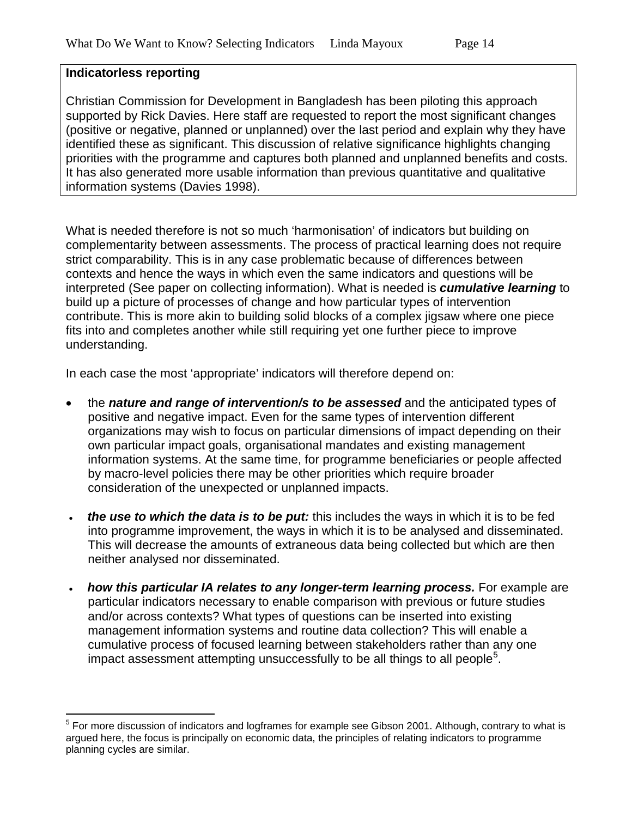#### **Indicatorless reporting**

Christian Commission for Development in Bangladesh has been piloting this approach supported by Rick Davies. Here staff are requested to report the most significant changes (positive or negative, planned or unplanned) over the last period and explain why they have identified these as significant. This discussion of relative significance highlights changing priorities with the programme and captures both planned and unplanned benefits and costs. It has also generated more usable information than previous quantitative and qualitative information systems (Davies 1998).

What is needed therefore is not so much 'harmonisation' of indicators but building on complementarity between assessments. The process of practical learning does not require strict comparability. This is in any case problematic because of differences between contexts and hence the ways in which even the same indicators and questions will be interpreted (See paper on collecting information). What is needed is *cumulative learning* to build up a picture of processes of change and how particular types of intervention contribute. This is more akin to building solid blocks of a complex jigsaw where one piece fits into and completes another while still requiring yet one further piece to improve understanding.

In each case the most 'appropriate' indicators will therefore depend on:

- the *nature and range of intervention/s to be assessed* and the anticipated types of positive and negative impact. Even for the same types of intervention different organizations may wish to focus on particular dimensions of impact depending on their own particular impact goals, organisational mandates and existing management information systems. At the same time, for programme beneficiaries or people affected by macro-level policies there may be other priorities which require broader consideration of the unexpected or unplanned impacts.
- *the use to which the data is to be put:* this includes the ways in which it is to be fed into programme improvement, the ways in which it is to be analysed and disseminated. This will decrease the amounts of extraneous data being collected but which are then neither analysed nor disseminated.
- *how this particular IA relates to any longer-term learning process.* For example are particular indicators necessary to enable comparison with previous or future studies and/or across contexts? What types of questions can be inserted into existing management information systems and routine data collection? This will enable a cumulative process of focused learning between stakeholders rather than any one impact assessment attempting unsuccessfully to be all things to all people<sup>[5](#page-13-0)</sup>.

<span id="page-13-0"></span><sup>&</sup>lt;sup>5</sup> For more discussion of indicators and logframes for example see Gibson 2001. Although, contrary to what is argued here, the focus is principally on economic data, the principles of relating indicators to programme planning cycles are similar.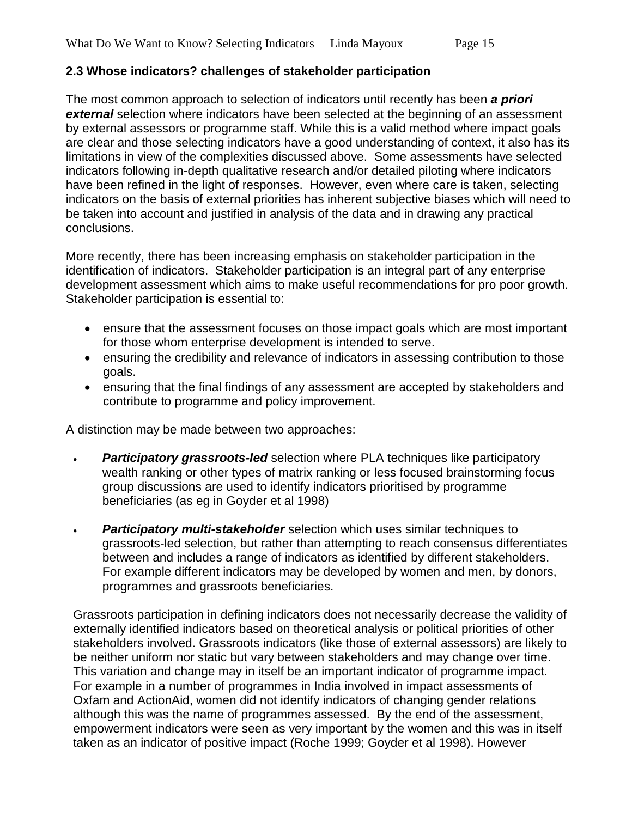### **2.3 Whose indicators? challenges of stakeholder participation**

The most common approach to selection of indicators until recently has been *a priori*  **external** selection where indicators have been selected at the beginning of an assessment by external assessors or programme staff. While this is a valid method where impact goals are clear and those selecting indicators have a good understanding of context, it also has its limitations in view of the complexities discussed above. Some assessments have selected indicators following in-depth qualitative research and/or detailed piloting where indicators have been refined in the light of responses. However, even where care is taken, selecting indicators on the basis of external priorities has inherent subjective biases which will need to be taken into account and justified in analysis of the data and in drawing any practical conclusions.

More recently, there has been increasing emphasis on stakeholder participation in the identification of indicators. Stakeholder participation is an integral part of any enterprise development assessment which aims to make useful recommendations for pro poor growth. Stakeholder participation is essential to:

- ensure that the assessment focuses on those impact goals which are most important for those whom enterprise development is intended to serve.
- ensuring the credibility and relevance of indicators in assessing contribution to those goals.
- ensuring that the final findings of any assessment are accepted by stakeholders and contribute to programme and policy improvement.

A distinction may be made between two approaches:

- *Participatory grassroots-led* selection where PLA techniques like participatory wealth ranking or other types of matrix ranking or less focused brainstorming focus group discussions are used to identify indicators prioritised by programme beneficiaries (as eg in Goyder et al 1998)
- **Participatory multi-stakeholder** selection which uses similar techniques to grassroots-led selection, but rather than attempting to reach consensus differentiates between and includes a range of indicators as identified by different stakeholders. For example different indicators may be developed by women and men, by donors, programmes and grassroots beneficiaries.

Grassroots participation in defining indicators does not necessarily decrease the validity of externally identified indicators based on theoretical analysis or political priorities of other stakeholders involved. Grassroots indicators (like those of external assessors) are likely to be neither uniform nor static but vary between stakeholders and may change over time. This variation and change may in itself be an important indicator of programme impact. For example in a number of programmes in India involved in impact assessments of Oxfam and ActionAid, women did not identify indicators of changing gender relations although this was the name of programmes assessed. By the end of the assessment, empowerment indicators were seen as very important by the women and this was in itself taken as an indicator of positive impact (Roche 1999; Goyder et al 1998). However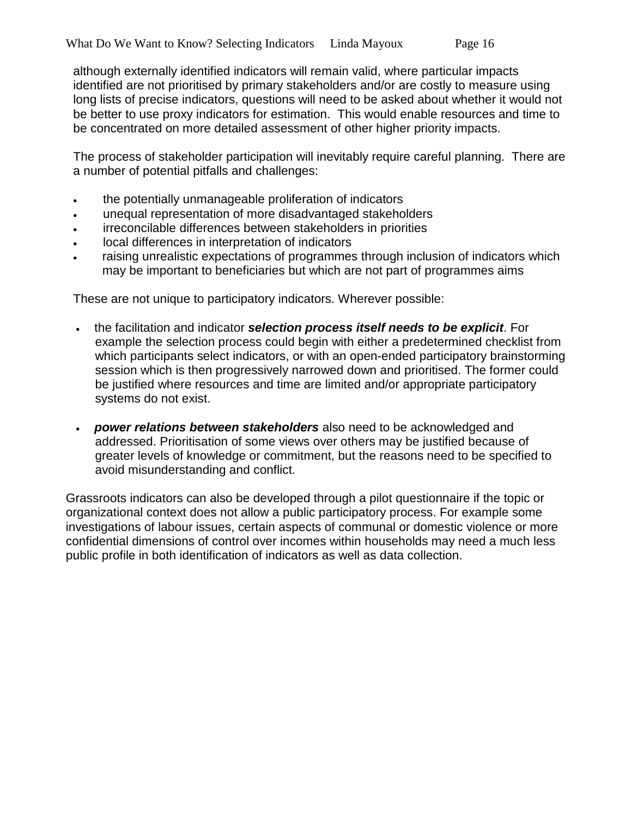although externally identified indicators will remain valid, where particular impacts identified are not prioritised by primary stakeholders and/or are costly to measure using long lists of precise indicators, questions will need to be asked about whether it would not be better to use proxy indicators for estimation. This would enable resources and time to be concentrated on more detailed assessment of other higher priority impacts.

The process of stakeholder participation will inevitably require careful planning. There are a number of potential pitfalls and challenges:

- the potentially unmanageable proliferation of indicators
- unequal representation of more disadvantaged stakeholders
- irreconcilable differences between stakeholders in priorities
- local differences in interpretation of indicators
- raising unrealistic expectations of programmes through inclusion of indicators which may be important to beneficiaries but which are not part of programmes aims

These are not unique to participatory indicators. Wherever possible:

- the facilitation and indicator *selection process itself needs to be explicit*. For example the selection process could begin with either a predetermined checklist from which participants select indicators, or with an open-ended participatory brainstorming session which is then progressively narrowed down and prioritised. The former could be justified where resources and time are limited and/or appropriate participatory systems do not exist.
- *power relations between stakeholders* also need to be acknowledged and addressed. Prioritisation of some views over others may be justified because of greater levels of knowledge or commitment, but the reasons need to be specified to avoid misunderstanding and conflict.

Grassroots indicators can also be developed through a pilot questionnaire if the topic or organizational context does not allow a public participatory process. For example some investigations of labour issues, certain aspects of communal or domestic violence or more confidential dimensions of control over incomes within households may need a much less public profile in both identification of indicators as well as data collection.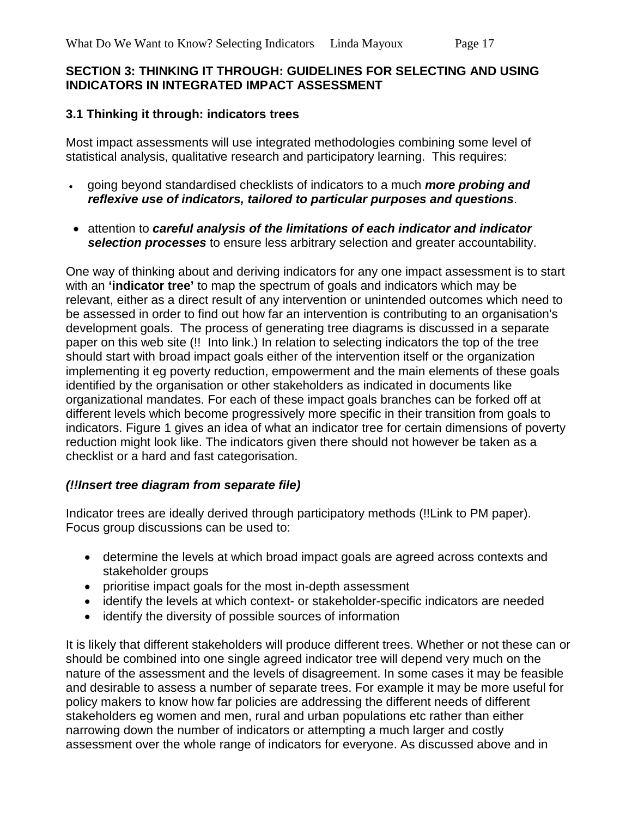### **SECTION 3: THINKING IT THROUGH: GUIDELINES FOR SELECTING AND USING INDICATORS IN INTEGRATED IMPACT ASSESSMENT**

### **3.1 Thinking it through: indicators trees**

Most impact assessments will use integrated methodologies combining some level of statistical analysis, qualitative research and participatory learning. This requires:

- going beyond standardised checklists of indicators to a much *more probing and reflexive use of indicators, tailored to particular purposes and questions*.
- attention to *careful analysis of the limitations of each indicator and indicator selection processes* to ensure less arbitrary selection and greater accountability.

One way of thinking about and deriving indicators for any one impact assessment is to start with an **'indicator tree'** to map the spectrum of goals and indicators which may be relevant, either as a direct result of any intervention or unintended outcomes which need to be assessed in order to find out how far an intervention is contributing to an organisation's development goals. The process of generating tree diagrams is discussed in a separate paper on this web site (!! Into link.) In relation to selecting indicators the top of the tree should start with broad impact goals either of the intervention itself or the organization implementing it eg poverty reduction, empowerment and the main elements of these goals identified by the organisation or other stakeholders as indicated in documents like organizational mandates. For each of these impact goals branches can be forked off at different levels which become progressively more specific in their transition from goals to indicators. Figure 1 gives an idea of what an indicator tree for certain dimensions of poverty reduction might look like. The indicators given there should not however be taken as a checklist or a hard and fast categorisation.

#### *(!!Insert tree diagram from separate file)*

Indicator trees are ideally derived through participatory methods (!!Link to PM paper). Focus group discussions can be used to:

- determine the levels at which broad impact goals are agreed across contexts and stakeholder groups
- prioritise impact goals for the most in-depth assessment
- identify the levels at which context- or stakeholder-specific indicators are needed
- identify the diversity of possible sources of information

It is likely that different stakeholders will produce different trees. Whether or not these can or should be combined into one single agreed indicator tree will depend very much on the nature of the assessment and the levels of disagreement. In some cases it may be feasible and desirable to assess a number of separate trees. For example it may be more useful for policy makers to know how far policies are addressing the different needs of different stakeholders eg women and men, rural and urban populations etc rather than either narrowing down the number of indicators or attempting a much larger and costly assessment over the whole range of indicators for everyone. As discussed above and in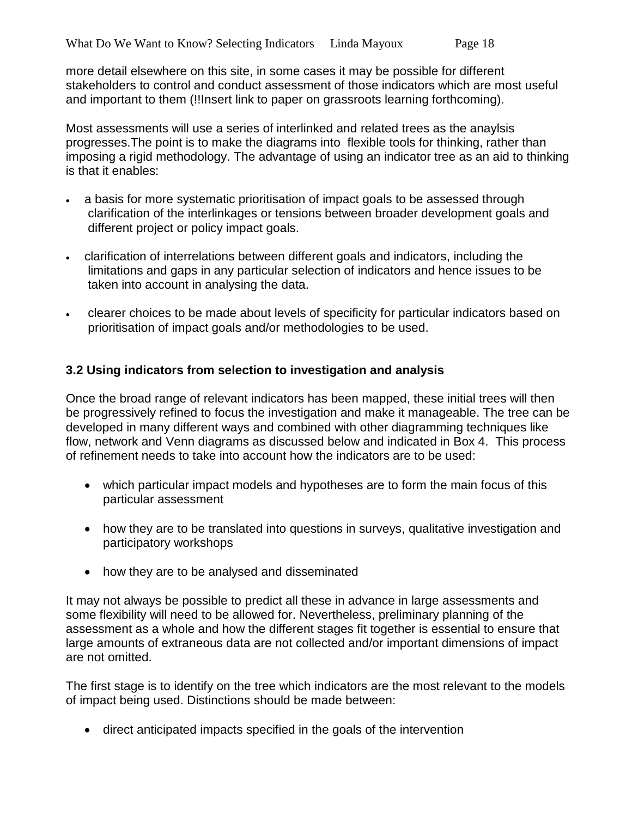more detail elsewhere on this site, in some cases it may be possible for different stakeholders to control and conduct assessment of those indicators which are most useful and important to them (!!Insert link to paper on grassroots learning forthcoming).

Most assessments will use a series of interlinked and related trees as the anaylsis progresses.The point is to make the diagrams into flexible tools for thinking, rather than imposing a rigid methodology. The advantage of using an indicator tree as an aid to thinking is that it enables:

- a basis for more systematic prioritisation of impact goals to be assessed through clarification of the interlinkages or tensions between broader development goals and different project or policy impact goals.
- clarification of interrelations between different goals and indicators, including the limitations and gaps in any particular selection of indicators and hence issues to be taken into account in analysing the data.
- clearer choices to be made about levels of specificity for particular indicators based on prioritisation of impact goals and/or methodologies to be used.

### **3.2 Using indicators from selection to investigation and analysis**

Once the broad range of relevant indicators has been mapped, these initial trees will then be progressively refined to focus the investigation and make it manageable. The tree can be developed in many different ways and combined with other diagramming techniques like flow, network and Venn diagrams as discussed below and indicated in Box 4. This process of refinement needs to take into account how the indicators are to be used:

- which particular impact models and hypotheses are to form the main focus of this particular assessment
- how they are to be translated into questions in surveys, qualitative investigation and participatory workshops
- how they are to be analysed and disseminated

It may not always be possible to predict all these in advance in large assessments and some flexibility will need to be allowed for. Nevertheless, preliminary planning of the assessment as a whole and how the different stages fit together is essential to ensure that large amounts of extraneous data are not collected and/or important dimensions of impact are not omitted.

The first stage is to identify on the tree which indicators are the most relevant to the models of impact being used. Distinctions should be made between:

• direct anticipated impacts specified in the goals of the intervention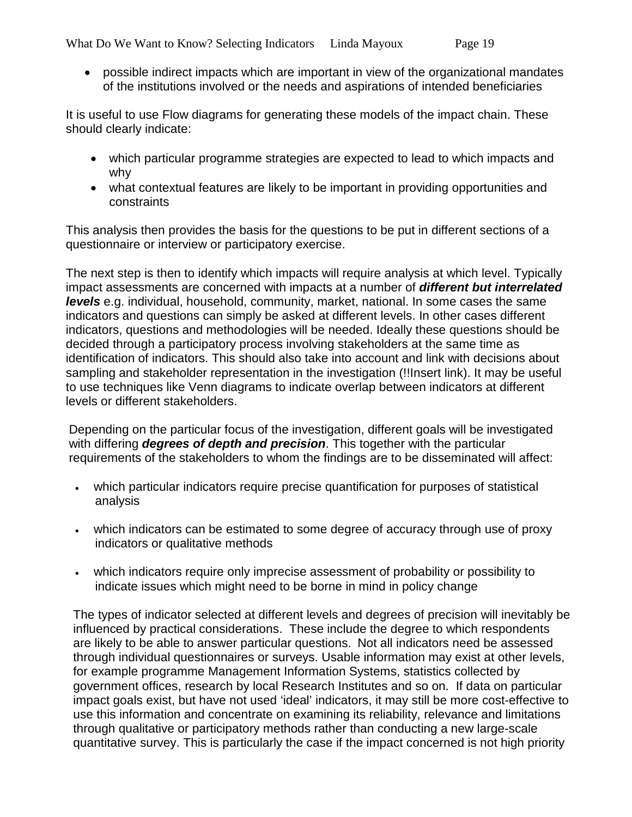• possible indirect impacts which are important in view of the organizational mandates of the institutions involved or the needs and aspirations of intended beneficiaries

It is useful to use Flow diagrams for generating these models of the impact chain. These should clearly indicate:

- which particular programme strategies are expected to lead to which impacts and why
- what contextual features are likely to be important in providing opportunities and constraints

This analysis then provides the basis for the questions to be put in different sections of a questionnaire or interview or participatory exercise.

The next step is then to identify which impacts will require analysis at which level. Typically impact assessments are concerned with impacts at a number of *different but interrelated levels* e.g. individual, household, community, market, national. In some cases the same indicators and questions can simply be asked at different levels. In other cases different indicators, questions and methodologies will be needed. Ideally these questions should be decided through a participatory process involving stakeholders at the same time as identification of indicators. This should also take into account and link with decisions about sampling and stakeholder representation in the investigation (!!Insert link). It may be useful to use techniques like Venn diagrams to indicate overlap between indicators at different levels or different stakeholders.

Depending on the particular focus of the investigation, different goals will be investigated with differing *degrees of depth and precision*. This together with the particular requirements of the stakeholders to whom the findings are to be disseminated will affect:

- which particular indicators require precise quantification for purposes of statistical analysis
- which indicators can be estimated to some degree of accuracy through use of proxy indicators or qualitative methods
- which indicators require only imprecise assessment of probability or possibility to indicate issues which might need to be borne in mind in policy change

The types of indicator selected at different levels and degrees of precision will inevitably be influenced by practical considerations. These include the degree to which respondents are likely to be able to answer particular questions. Not all indicators need be assessed through individual questionnaires or surveys. Usable information may exist at other levels, for example programme Management Information Systems, statistics collected by government offices, research by local Research Institutes and so on. If data on particular impact goals exist, but have not used 'ideal' indicators, it may still be more cost-effective to use this information and concentrate on examining its reliability, relevance and limitations through qualitative or participatory methods rather than conducting a new large-scale quantitative survey. This is particularly the case if the impact concerned is not high priority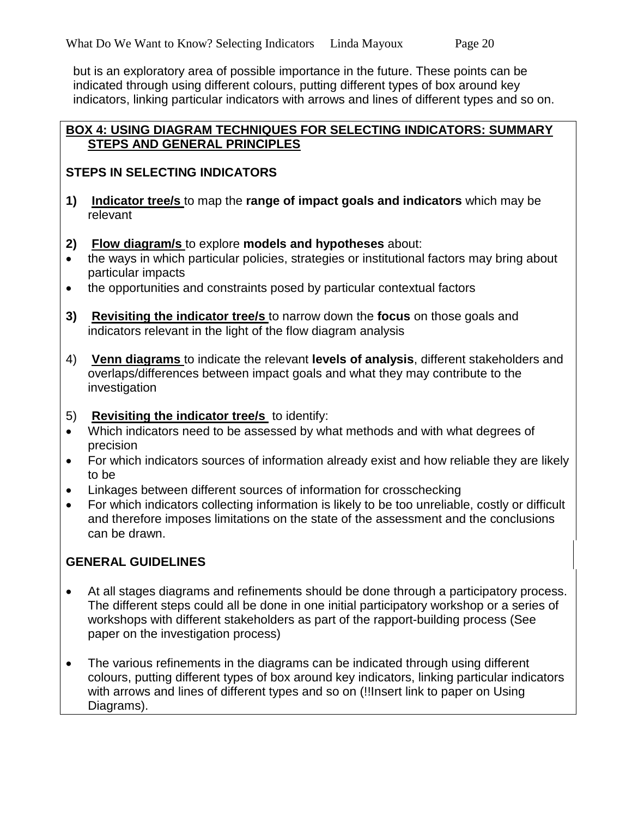but is an exploratory area of possible importance in the future. These points can be indicated through using different colours, putting different types of box around key indicators, linking particular indicators with arrows and lines of different types and so on.

#### **BOX 4: USING DIAGRAM TECHNIQUES FOR SELECTING INDICATORS: SUMMARY STEPS AND GENERAL PRINCIPLES**

### **STEPS IN SELECTING INDICATORS**

- **1) Indicator tree/s** to map the **range of impact goals and indicators** which may be relevant
- **2) Flow diagram/s** to explore **models and hypotheses** about:
- the ways in which particular policies, strategies or institutional factors may bring about particular impacts
- the opportunities and constraints posed by particular contextual factors
- **3) Revisiting the indicator tree/s** to narrow down the **focus** on those goals and indicators relevant in the light of the flow diagram analysis
- 4) **Venn diagrams** to indicate the relevant **levels of analysis**, different stakeholders and overlaps/differences between impact goals and what they may contribute to the investigation
- 5) **Revisiting the indicator tree/s** to identify:
- Which indicators need to be assessed by what methods and with what degrees of precision
- For which indicators sources of information already exist and how reliable they are likely to be
- Linkages between different sources of information for crosschecking
- For which indicators collecting information is likely to be too unreliable, costly or difficult and therefore imposes limitations on the state of the assessment and the conclusions can be drawn.

### **GENERAL GUIDELINES**

- At all stages diagrams and refinements should be done through a participatory process. The different steps could all be done in one initial participatory workshop or a series of workshops with different stakeholders as part of the rapport-building process (See paper on the investigation process)
- The various refinements in the diagrams can be indicated through using different colours, putting different types of box around key indicators, linking particular indicators with arrows and lines of different types and so on (!!Insert link to paper on Using Diagrams).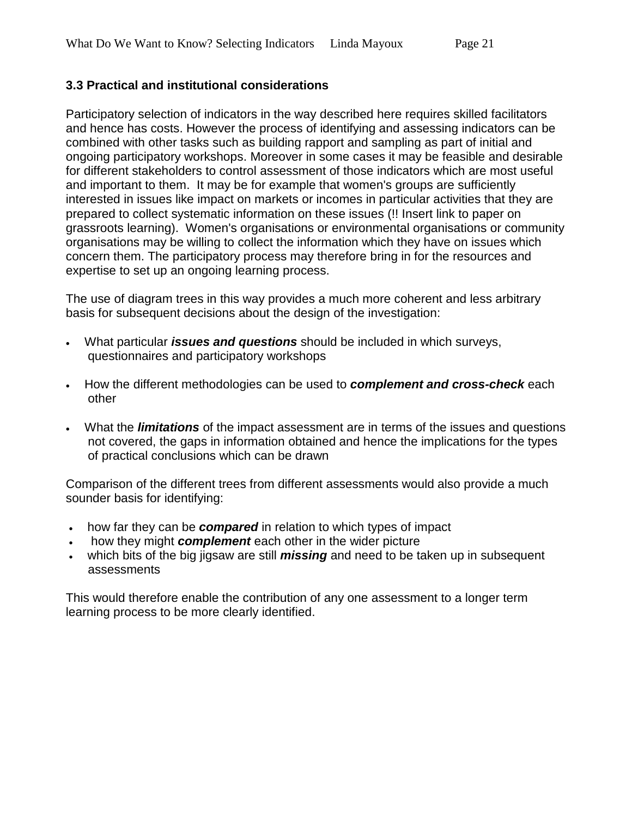### **3.3 Practical and institutional considerations**

Participatory selection of indicators in the way described here requires skilled facilitators and hence has costs. However the process of identifying and assessing indicators can be combined with other tasks such as building rapport and sampling as part of initial and ongoing participatory workshops. Moreover in some cases it may be feasible and desirable for different stakeholders to control assessment of those indicators which are most useful and important to them. It may be for example that women's groups are sufficiently interested in issues like impact on markets or incomes in particular activities that they are prepared to collect systematic information on these issues (!! Insert link to paper on grassroots learning). Women's organisations or environmental organisations or community organisations may be willing to collect the information which they have on issues which concern them. The participatory process may therefore bring in for the resources and expertise to set up an ongoing learning process.

The use of diagram trees in this way provides a much more coherent and less arbitrary basis for subsequent decisions about the design of the investigation:

- What particular *issues and questions* should be included in which surveys, questionnaires and participatory workshops
- How the different methodologies can be used to *complement and cross-check* each other
- What the *limitations* of the impact assessment are in terms of the issues and questions not covered, the gaps in information obtained and hence the implications for the types of practical conclusions which can be drawn

Comparison of the different trees from different assessments would also provide a much sounder basis for identifying:

- how far they can be *compared* in relation to which types of impact
- how they might *complement* each other in the wider picture
- which bits of the big jigsaw are still *missing* and need to be taken up in subsequent assessments

This would therefore enable the contribution of any one assessment to a longer term learning process to be more clearly identified.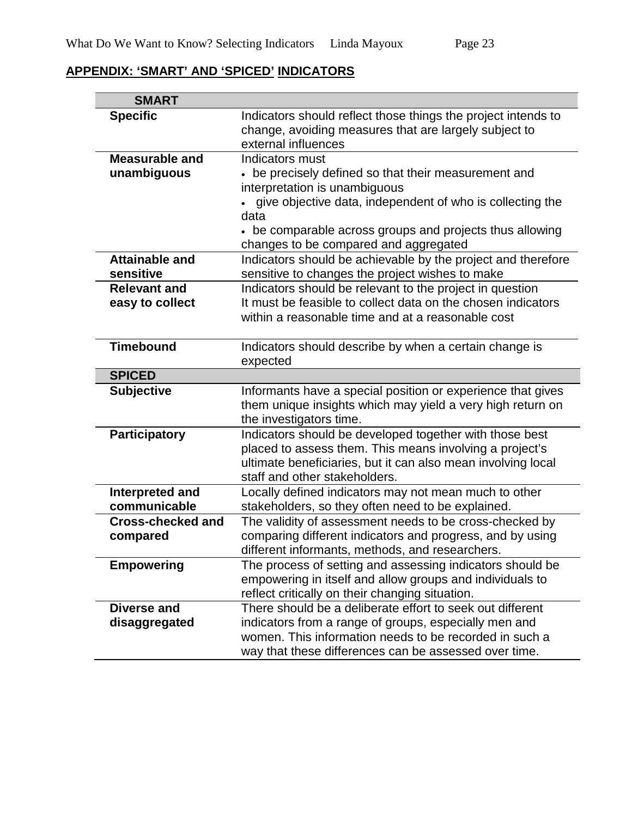# **APPENDIX: 'SMART' AND 'SPICED' INDICATORS**

| <b>SMART</b>                     |                                                                                                                                               |
|----------------------------------|-----------------------------------------------------------------------------------------------------------------------------------------------|
| <b>Specific</b>                  | Indicators should reflect those things the project intends to<br>change, avoiding measures that are largely subject to<br>external influences |
| <b>Measurable and</b>            | Indicators must                                                                                                                               |
| unambiguous                      | • be precisely defined so that their measurement and                                                                                          |
|                                  | interpretation is unambiguous                                                                                                                 |
|                                  | • give objective data, independent of who is collecting the                                                                                   |
|                                  | data                                                                                                                                          |
|                                  | • be comparable across groups and projects thus allowing                                                                                      |
|                                  | changes to be compared and aggregated                                                                                                         |
| <b>Attainable and</b>            | Indicators should be achievable by the project and therefore                                                                                  |
| sensitive<br><b>Relevant and</b> | sensitive to changes the project wishes to make<br>Indicators should be relevant to the project in question                                   |
| easy to collect                  | It must be feasible to collect data on the chosen indicators                                                                                  |
|                                  | within a reasonable time and at a reasonable cost                                                                                             |
|                                  |                                                                                                                                               |
| <b>Timebound</b>                 | Indicators should describe by when a certain change is                                                                                        |
|                                  | expected                                                                                                                                      |
| <b>SPICED</b>                    |                                                                                                                                               |
| <b>Subjective</b>                | Informants have a special position or experience that gives                                                                                   |
|                                  | them unique insights which may yield a very high return on                                                                                    |
|                                  | the investigators time.                                                                                                                       |
| <b>Participatory</b>             | Indicators should be developed together with those best                                                                                       |
|                                  | placed to assess them. This means involving a project's                                                                                       |
|                                  | ultimate beneficiaries, but it can also mean involving local<br>staff and other stakeholders.                                                 |
| Interpreted and                  | Locally defined indicators may not mean much to other                                                                                         |
| communicable                     | stakeholders, so they often need to be explained.                                                                                             |
| <b>Cross-checked and</b>         | The validity of assessment needs to be cross-checked by                                                                                       |
| compared                         | comparing different indicators and progress, and by using                                                                                     |
|                                  | different informants, methods, and researchers.                                                                                               |
| <b>Empowering</b>                | The process of setting and assessing indicators should be                                                                                     |
|                                  | empowering in itself and allow groups and individuals to                                                                                      |
|                                  | reflect critically on their changing situation.                                                                                               |
| Diverse and                      | There should be a deliberate effort to seek out different                                                                                     |
| disaggregated                    | indicators from a range of groups, especially men and                                                                                         |
|                                  | women. This information needs to be recorded in such a                                                                                        |
|                                  | way that these differences can be assessed over time.                                                                                         |